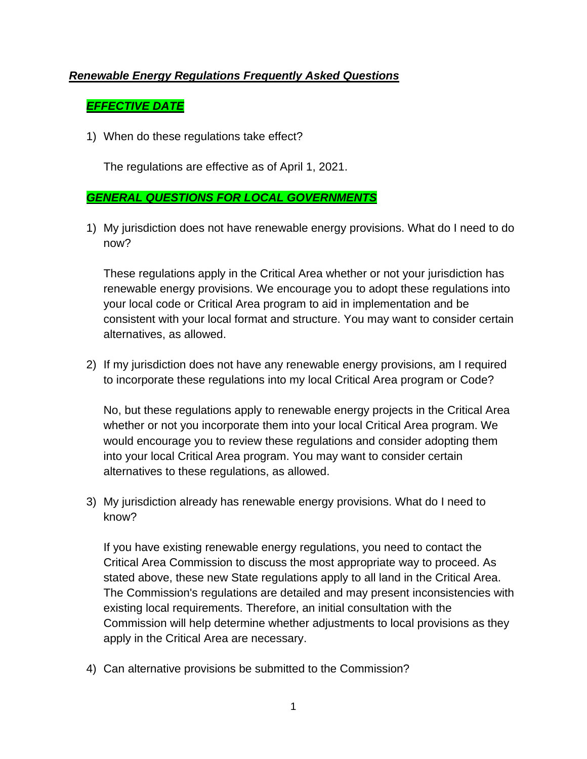## *Renewable Energy Regulations Frequently Asked Questions*

# *EFFECTIVE DATE*

1) When do these regulations take effect?

The regulations are effective as of April 1, 2021.

### *GENERAL QUESTIONS FOR LOCAL GOVERNMENTS*

1) My jurisdiction does not have renewable energy provisions. What do I need to do now?

These regulations apply in the Critical Area whether or not your jurisdiction has renewable energy provisions. We encourage you to adopt these regulations into your local code or Critical Area program to aid in implementation and be consistent with your local format and structure. You may want to consider certain alternatives, as allowed.

2) If my jurisdiction does not have any renewable energy provisions, am I required to incorporate these regulations into my local Critical Area program or Code?

No, but these regulations apply to renewable energy projects in the Critical Area whether or not you incorporate them into your local Critical Area program. We would encourage you to review these regulations and consider adopting them into your local Critical Area program. You may want to consider certain alternatives to these regulations, as allowed.

3) My jurisdiction already has renewable energy provisions. What do I need to know?

If you have existing renewable energy regulations, you need to contact the Critical Area Commission to discuss the most appropriate way to proceed. As stated above, these new State regulations apply to all land in the Critical Area. The Commission's regulations are detailed and may present inconsistencies with existing local requirements. Therefore, an initial consultation with the Commission will help determine whether adjustments to local provisions as they apply in the Critical Area are necessary.

4) Can alternative provisions be submitted to the Commission?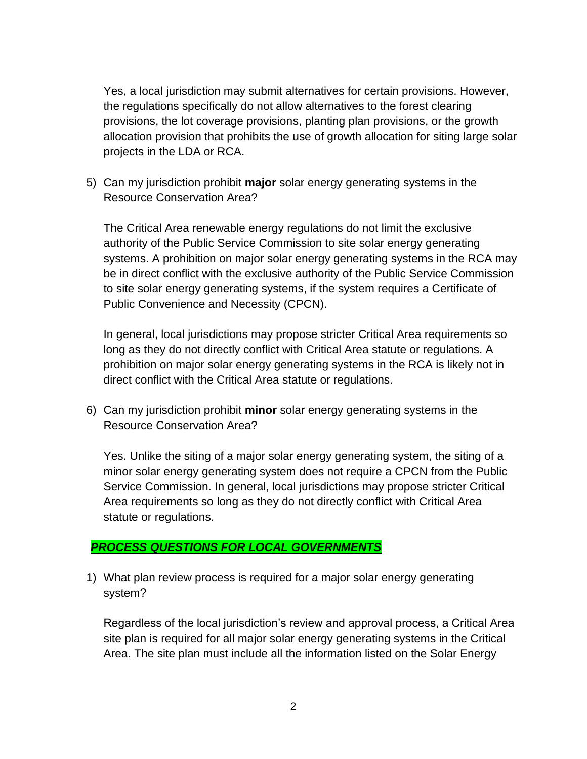Yes, a local jurisdiction may submit alternatives for certain provisions. However, the regulations specifically do not allow alternatives to the forest clearing provisions, the lot coverage provisions, planting plan provisions, or the growth allocation provision that prohibits the use of growth allocation for siting large solar projects in the LDA or RCA.

5) Can my jurisdiction prohibit **major** solar energy generating systems in the Resource Conservation Area?

The Critical Area renewable energy regulations do not limit the exclusive authority of the Public Service Commission to site solar energy generating systems. A prohibition on major solar energy generating systems in the RCA may be in direct conflict with the exclusive authority of the Public Service Commission to site solar energy generating systems, if the system requires a Certificate of Public Convenience and Necessity (CPCN).

In general, local jurisdictions may propose stricter Critical Area requirements so long as they do not directly conflict with Critical Area statute or regulations. A prohibition on major solar energy generating systems in the RCA is likely not in direct conflict with the Critical Area statute or regulations.

6) Can my jurisdiction prohibit **minor** solar energy generating systems in the Resource Conservation Area?

Yes. Unlike the siting of a major solar energy generating system, the siting of a minor solar energy generating system does not require a CPCN from the Public Service Commission. In general, local jurisdictions may propose stricter Critical Area requirements so long as they do not directly conflict with Critical Area statute or regulations.

### *PROCESS QUESTIONS FOR LOCAL GOVERNMENTS*

1) What plan review process is required for a major solar energy generating system?

Regardless of the local jurisdiction's review and approval process, a Critical Area site plan is required for all major solar energy generating systems in the Critical Area. The site plan must include all the information listed on the Solar Energy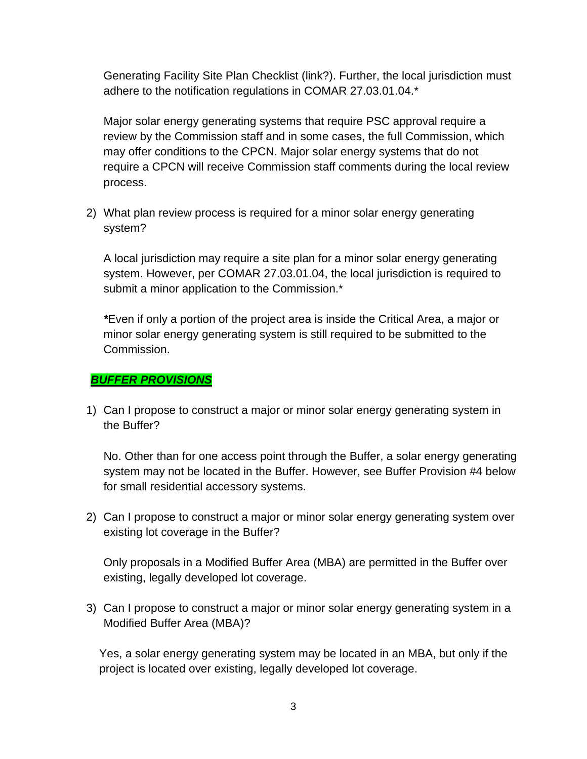Generating Facility Site Plan Checklist (link?). Further, the local jurisdiction must adhere to the notification regulations in COMAR 27.03.01.04.\*

Major solar energy generating systems that require PSC approval require a review by the Commission staff and in some cases, the full Commission, which may offer conditions to the CPCN. Major solar energy systems that do not require a CPCN will receive Commission staff comments during the local review process.

2) What plan review process is required for a minor solar energy generating system?

A local jurisdiction may require a site plan for a minor solar energy generating system. However, per COMAR 27.03.01.04, the local jurisdiction is required to submit a minor application to the Commission.\*

*\**Even if only a portion of the project area is inside the Critical Area, a major or minor solar energy generating system is still required to be submitted to the Commission.

### *BUFFER PROVISIONS*

1) Can I propose to construct a major or minor solar energy generating system in the Buffer?

No. Other than for one access point through the Buffer, a solar energy generating system may not be located in the Buffer. However, see Buffer Provision #4 below for small residential accessory systems.

2) Can I propose to construct a major or minor solar energy generating system over existing lot coverage in the Buffer?

Only proposals in a Modified Buffer Area (MBA) are permitted in the Buffer over existing, legally developed lot coverage.

3) Can I propose to construct a major or minor solar energy generating system in a Modified Buffer Area (MBA)?

Yes, a solar energy generating system may be located in an MBA, but only if the project is located over existing, legally developed lot coverage.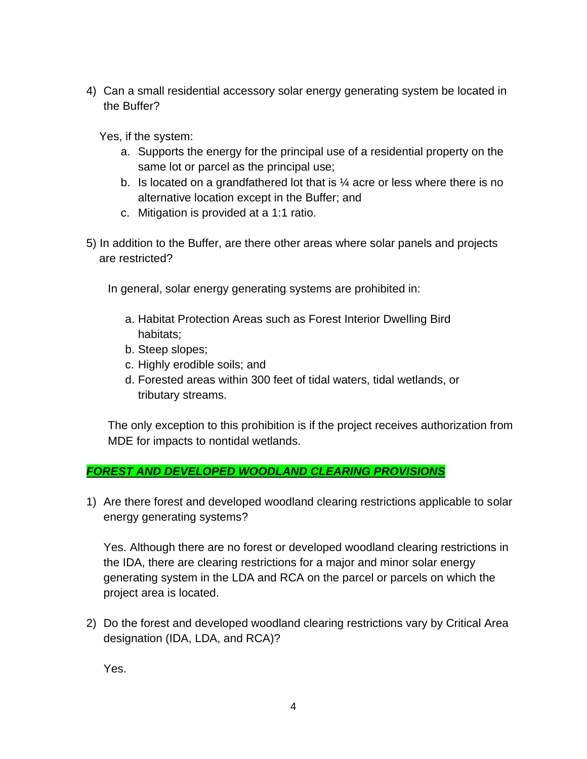4) Can a small residential accessory solar energy generating system be located in the Buffer?

Yes, if the system:

- a. Supports the energy for the principal use of a residential property on the same lot or parcel as the principal use;
- b. Is located on a grandfathered lot that is  $\frac{1}{4}$  acre or less where there is no alternative location except in the Buffer; and
- c. Mitigation is provided at a 1:1 ratio.
- 5) In addition to the Buffer, are there other areas where solar panels and projects are restricted?

In general, solar energy generating systems are prohibited in:

- a. Habitat Protection Areas such as Forest Interior Dwelling Bird habitats;
- b. Steep slopes;
- c. Highly erodible soils; and
- d. Forested areas within 300 feet of tidal waters, tidal wetlands, or tributary streams.

The only exception to this prohibition is if the project receives authorization from MDE for impacts to nontidal wetlands.

### *FOREST AND DEVELOPED WOODLAND CLEARING PROVISIONS*

1) Are there forest and developed woodland clearing restrictions applicable to solar energy generating systems?

Yes. Although there are no forest or developed woodland clearing restrictions in the IDA, there are clearing restrictions for a major and minor solar energy generating system in the LDA and RCA on the parcel or parcels on which the project area is located.

2) Do the forest and developed woodland clearing restrictions vary by Critical Area designation (IDA, LDA, and RCA)?

Yes.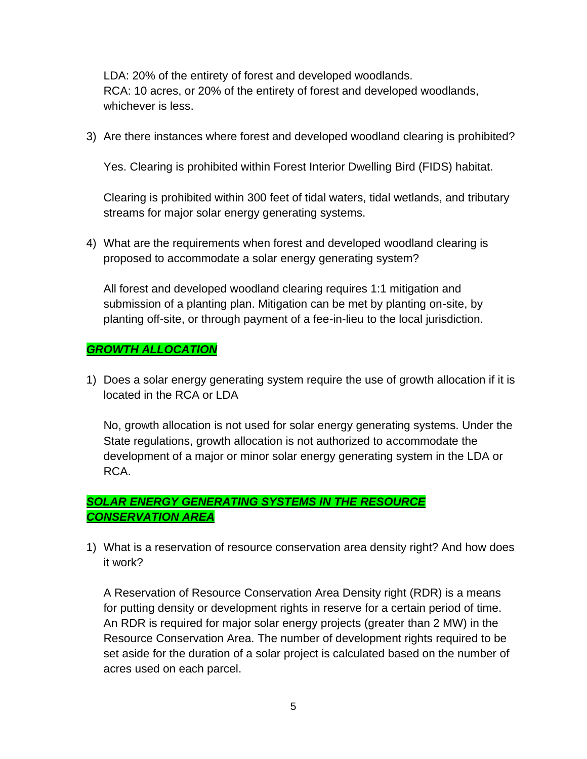LDA: 20% of the entirety of forest and developed woodlands. RCA: 10 acres, or 20% of the entirety of forest and developed woodlands, whichever is less.

3) Are there instances where forest and developed woodland clearing is prohibited?

Yes. Clearing is prohibited within Forest Interior Dwelling Bird (FIDS) habitat.

Clearing is prohibited within 300 feet of tidal waters, tidal wetlands, and tributary streams for major solar energy generating systems.

4) What are the requirements when forest and developed woodland clearing is proposed to accommodate a solar energy generating system?

All forest and developed woodland clearing requires 1:1 mitigation and submission of a planting plan. Mitigation can be met by planting on-site, by planting off-site, or through payment of a fee-in-lieu to the local jurisdiction.

#### *GROWTH ALLOCATION*

1) Does a solar energy generating system require the use of growth allocation if it is located in the RCA or LDA

No, growth allocation is not used for solar energy generating systems. Under the State regulations, growth allocation is not authorized to accommodate the development of a major or minor solar energy generating system in the LDA or RCA.

# *SOLAR ENERGY GENERATING SYSTEMS IN THE RESOURCE CONSERVATION AREA*

1) What is a reservation of resource conservation area density right? And how does it work?

A Reservation of Resource Conservation Area Density right (RDR) is a means for putting density or development rights in reserve for a certain period of time. An RDR is required for major solar energy projects (greater than 2 MW) in the Resource Conservation Area. The number of development rights required to be set aside for the duration of a solar project is calculated based on the number of acres used on each parcel.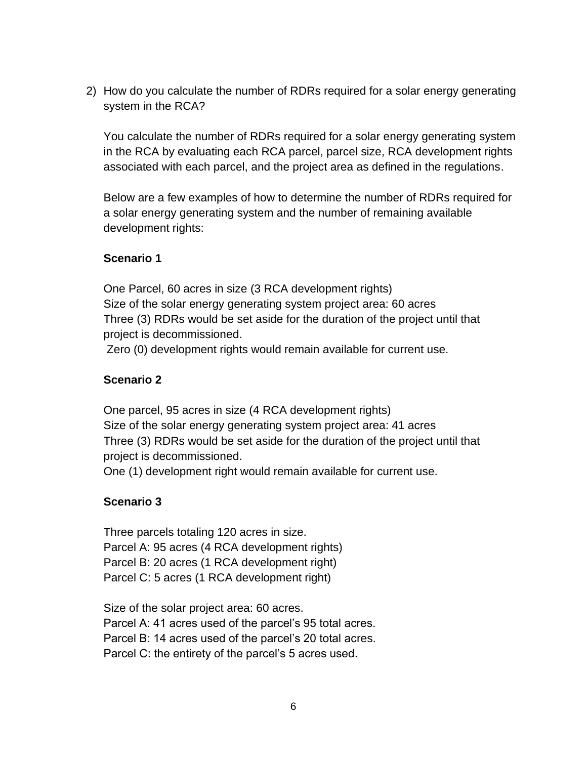2) How do you calculate the number of RDRs required for a solar energy generating system in the RCA?

You calculate the number of RDRs required for a solar energy generating system in the RCA by evaluating each RCA parcel, parcel size, RCA development rights associated with each parcel, and the project area as defined in the regulations.

Below are a few examples of how to determine the number of RDRs required for a solar energy generating system and the number of remaining available development rights:

#### **Scenario 1**

One Parcel, 60 acres in size (3 RCA development rights) Size of the solar energy generating system project area: 60 acres Three (3) RDRs would be set aside for the duration of the project until that project is decommissioned.

Zero (0) development rights would remain available for current use.

### **Scenario 2**

One parcel, 95 acres in size (4 RCA development rights) Size of the solar energy generating system project area: 41 acres Three (3) RDRs would be set aside for the duration of the project until that project is decommissioned.

One (1) development right would remain available for current use.

### **Scenario 3**

Three parcels totaling 120 acres in size. Parcel A: 95 acres (4 RCA development rights) Parcel B: 20 acres (1 RCA development right) Parcel C: 5 acres (1 RCA development right)

Size of the solar project area: 60 acres. Parcel A: 41 acres used of the parcel's 95 total acres.

Parcel B: 14 acres used of the parcel's 20 total acres.

Parcel C: the entirety of the parcel's 5 acres used.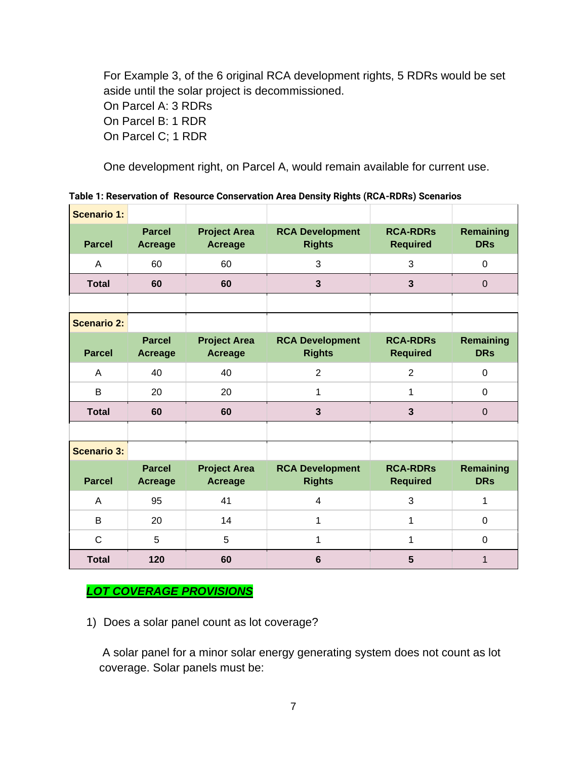For Example 3, of the 6 original RCA development rights, 5 RDRs would be set aside until the solar project is decommissioned. On Parcel A: 3 RDRs On Parcel B: 1 RDR On Parcel C; 1 RDR

One development right, on Parcel A, would remain available for current use.

| Table 1: Reservation of Resource Conservation Area Density Rights (RCA-RDRs) Scenarios |  |  |  |  |
|----------------------------------------------------------------------------------------|--|--|--|--|
|----------------------------------------------------------------------------------------|--|--|--|--|

| <b>Scenario 1:</b> |                                 |                                       |                                         |                                    |                                |
|--------------------|---------------------------------|---------------------------------------|-----------------------------------------|------------------------------------|--------------------------------|
| <b>Parcel</b>      | <b>Parcel</b><br><b>Acreage</b> | <b>Project Area</b><br><b>Acreage</b> | <b>RCA Development</b><br><b>Rights</b> | <b>RCA-RDRs</b><br><b>Required</b> | <b>Remaining</b><br><b>DRs</b> |
| A                  | 60                              | 60                                    | 3                                       | 3                                  | $\mathbf 0$                    |
| <b>Total</b>       | 60                              | 60                                    | $\mathbf{3}$                            | $\overline{3}$                     | $\mathbf 0$                    |
|                    |                                 |                                       |                                         |                                    |                                |
| <b>Scenario 2:</b> |                                 |                                       |                                         |                                    |                                |
| <b>Parcel</b>      | <b>Parcel</b><br><b>Acreage</b> | <b>Project Area</b><br><b>Acreage</b> | <b>RCA Development</b><br><b>Rights</b> | <b>RCA-RDRs</b><br><b>Required</b> | <b>Remaining</b><br><b>DRs</b> |
| A                  | 40                              | 40                                    | $\overline{2}$                          | $\overline{2}$                     | $\mathbf 0$                    |
| B                  | 20                              | 20                                    | 1                                       | 1                                  | $\mathbf{0}$                   |
| <b>Total</b>       | 60                              | 60                                    | 3                                       | 3                                  | $\mathbf 0$                    |
|                    |                                 |                                       |                                         |                                    |                                |
| <b>Scenario 3:</b> |                                 |                                       |                                         |                                    |                                |
| <b>Parcel</b>      | <b>Parcel</b><br><b>Acreage</b> | <b>Project Area</b><br><b>Acreage</b> | <b>RCA Development</b><br><b>Rights</b> | <b>RCA-RDRs</b><br><b>Required</b> | <b>Remaining</b><br><b>DRs</b> |
| A                  | 95                              | 41                                    | $\overline{4}$                          | 3                                  | 1                              |
| B                  | 20                              | 14                                    | 1                                       | 1                                  | $\Omega$                       |
| $\mathsf{C}$       | 5                               | 5                                     | $\mathbf{1}$                            | 1                                  | $\mathbf{0}$                   |
| <b>Total</b>       | 120                             | 60                                    | $6\phantom{1}$                          | 5                                  | $\mathbf{1}$                   |

# *LOT COVERAGE PROVISIONS*

1) Does a solar panel count as lot coverage?

A solar panel for a minor solar energy generating system does not count as lot coverage. Solar panels must be: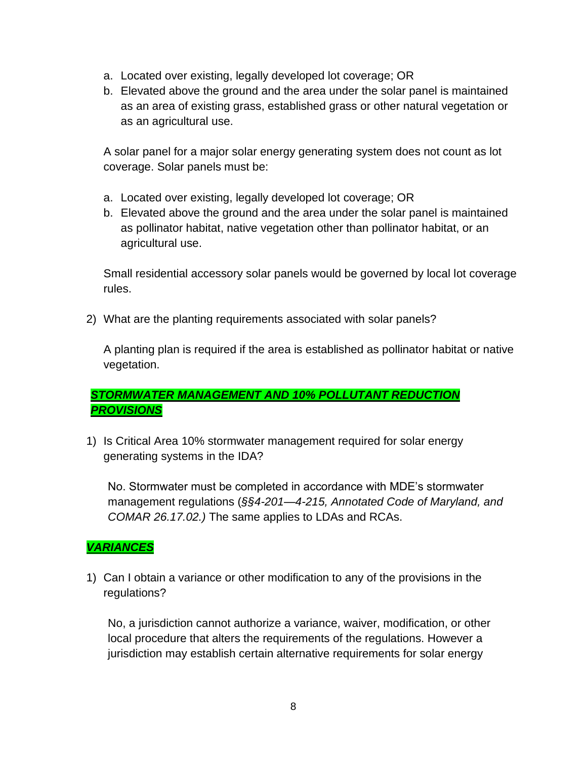- a. Located over existing, legally developed lot coverage; OR
- b. Elevated above the ground and the area under the solar panel is maintained as an area of existing grass, established grass or other natural vegetation or as an agricultural use.

A solar panel for a major solar energy generating system does not count as lot coverage. Solar panels must be:

- a. Located over existing, legally developed lot coverage; OR
- b. Elevated above the ground and the area under the solar panel is maintained as pollinator habitat, native vegetation other than pollinator habitat, or an agricultural use.

Small residential accessory solar panels would be governed by local lot coverage rules.

2) What are the planting requirements associated with solar panels?

A planting plan is required if the area is established as pollinator habitat or native vegetation.

# *STORMWATER MANAGEMENT AND 10% POLLUTANT REDUCTION PROVISIONS*

1) Is Critical Area 10% stormwater management required for solar energy generating systems in the IDA?

No. Stormwater must be completed in accordance with MDE's stormwater management regulations (*§§4-201—4-215, Annotated Code of Maryland, and COMAR 26.17.02.)* The same applies to LDAs and RCAs.

### *VARIANCES*

1) Can I obtain a variance or other modification to any of the provisions in the regulations?

No, a jurisdiction cannot authorize a variance, waiver, modification, or other local procedure that alters the requirements of the regulations. However a jurisdiction may establish certain alternative requirements for solar energy